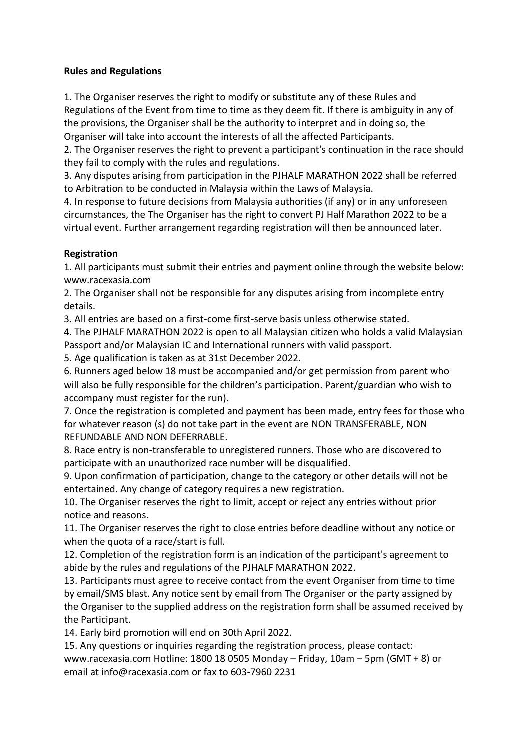### **Rules and Regulations**

1. The Organiser reserves the right to modify or substitute any of these Rules and Regulations of the Event from time to time as they deem fit. If there is ambiguity in any of the provisions, the Organiser shall be the authority to interpret and in doing so, the Organiser will take into account the interests of all the affected Participants.

2. The Organiser reserves the right to prevent a participant's continuation in the race should they fail to comply with the rules and regulations.

3. Any disputes arising from participation in the PJHALF MARATHON 2022 shall be referred to Arbitration to be conducted in Malaysia within the Laws of Malaysia.

4. In response to future decisions from Malaysia authorities (if any) or in any unforeseen circumstances, the The Organiser has the right to convert PJ Half Marathon 2022 to be a virtual event. Further arrangement regarding registration will then be announced later.

# **Registration**

1. All participants must submit their entries and payment online through the website below: www.racexasia.com

2. The Organiser shall not be responsible for any disputes arising from incomplete entry details.

3. All entries are based on a first-come first-serve basis unless otherwise stated.

4. The PJHALF MARATHON 2022 is open to all Malaysian citizen who holds a valid Malaysian Passport and/or Malaysian IC and International runners with valid passport.

5. Age qualification is taken as at 31st December 2022.

6. Runners aged below 18 must be accompanied and/or get permission from parent who will also be fully responsible for the children's participation. Parent/guardian who wish to accompany must register for the run).

7. Once the registration is completed and payment has been made, entry fees for those who for whatever reason (s) do not take part in the event are NON TRANSFERABLE, NON REFUNDABLE AND NON DEFERRABLE.

8. Race entry is non-transferable to unregistered runners. Those who are discovered to participate with an unauthorized race number will be disqualified.

9. Upon confirmation of participation, change to the category or other details will not be entertained. Any change of category requires a new registration.

10. The Organiser reserves the right to limit, accept or reject any entries without prior notice and reasons.

11. The Organiser reserves the right to close entries before deadline without any notice or when the quota of a race/start is full.

12. Completion of the registration form is an indication of the participant's agreement to abide by the rules and regulations of the PJHALF MARATHON 2022.

13. Participants must agree to receive contact from the event Organiser from time to time by email/SMS blast. Any notice sent by email from The Organiser or the party assigned by the Organiser to the supplied address on the registration form shall be assumed received by the Participant.

14. Early bird promotion will end on 30th April 2022.

15. Any questions or inquiries regarding the registration process, please contact: www.racexasia.com Hotline: 1800 18 0505 Monday – Friday, 10am – 5pm (GMT + 8) or email at info@racexasia.com or fax to 603-7960 2231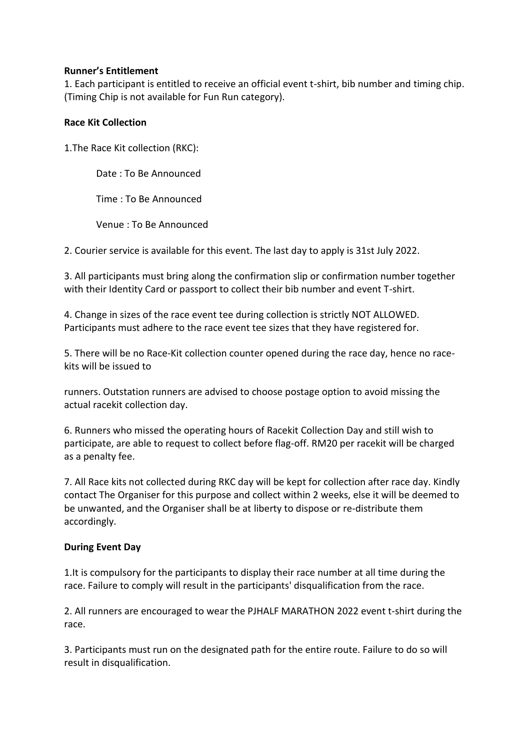### **Runner's Entitlement**

1. Each participant is entitled to receive an official event t-shirt, bib number and timing chip. (Timing Chip is not available for Fun Run category).

### **Race Kit Collection**

1.The Race Kit collection (RKC):

Date : To Be Announced

Time : To Be Announced

Venue : To Be Announced

2. Courier service is available for this event. The last day to apply is 31st July 2022.

3. All participants must bring along the confirmation slip or confirmation number together with their Identity Card or passport to collect their bib number and event T-shirt.

4. Change in sizes of the race event tee during collection is strictly NOT ALLOWED. Participants must adhere to the race event tee sizes that they have registered for.

5. There will be no Race-Kit collection counter opened during the race day, hence no racekits will be issued to

runners. Outstation runners are advised to choose postage option to avoid missing the actual racekit collection day.

6. Runners who missed the operating hours of Racekit Collection Day and still wish to participate, are able to request to collect before flag-off. RM20 per racekit will be charged as a penalty fee.

7. All Race kits not collected during RKC day will be kept for collection after race day. Kindly contact The Organiser for this purpose and collect within 2 weeks, else it will be deemed to be unwanted, and the Organiser shall be at liberty to dispose or re-distribute them accordingly.

# **During Event Day**

1.It is compulsory for the participants to display their race number at all time during the race. Failure to comply will result in the participants' disqualification from the race.

2. All runners are encouraged to wear the PJHALF MARATHON 2022 event t-shirt during the race.

3. Participants must run on the designated path for the entire route. Failure to do so will result in disqualification.